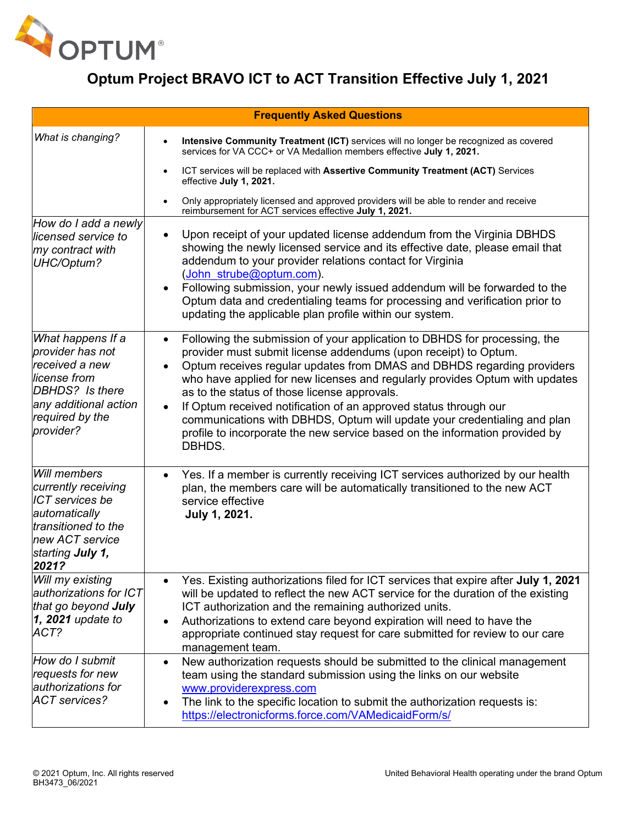

| <b>Frequently Asked Questions</b>                                                                                                                     |                                                                                                                                                                                                                                                                                                                                                                                                                                                                                                                                                                                                                          |
|-------------------------------------------------------------------------------------------------------------------------------------------------------|--------------------------------------------------------------------------------------------------------------------------------------------------------------------------------------------------------------------------------------------------------------------------------------------------------------------------------------------------------------------------------------------------------------------------------------------------------------------------------------------------------------------------------------------------------------------------------------------------------------------------|
| What is changing?                                                                                                                                     | Intensive Community Treatment (ICT) services will no longer be recognized as covered<br>services for VA CCC+ or VA Medallion members effective July 1, 2021.                                                                                                                                                                                                                                                                                                                                                                                                                                                             |
|                                                                                                                                                       | ICT services will be replaced with Assertive Community Treatment (ACT) Services<br>effective July 1, 2021.                                                                                                                                                                                                                                                                                                                                                                                                                                                                                                               |
|                                                                                                                                                       | Only appropriately licensed and approved providers will be able to render and receive<br>reimbursement for ACT services effective July 1, 2021.                                                                                                                                                                                                                                                                                                                                                                                                                                                                          |
| How do I add a newly<br>licensed service to<br>my contract with<br>UHC/Optum?                                                                         | Upon receipt of your updated license addendum from the Virginia DBHDS<br>$\bullet$<br>showing the newly licensed service and its effective date, please email that<br>addendum to your provider relations contact for Virginia<br>(John strube@optum.com).<br>Following submission, your newly issued addendum will be forwarded to the<br>Optum data and credentialing teams for processing and verification prior to<br>updating the applicable plan profile within our system.                                                                                                                                        |
| What happens If a<br>provider has not<br>received a new<br>license from<br>DBHDS? Is there<br>any additional action<br>required by the<br>provider?   | Following the submission of your application to DBHDS for processing, the<br>$\bullet$<br>provider must submit license addendums (upon receipt) to Optum.<br>Optum receives regular updates from DMAS and DBHDS regarding providers<br>who have applied for new licenses and regularly provides Optum with updates<br>as to the status of those license approvals.<br>If Optum received notification of an approved status through our<br>$\bullet$<br>communications with DBHDS, Optum will update your credentialing and plan<br>profile to incorporate the new service based on the information provided by<br>DBHDS. |
| Will members<br>currently receiving<br><b>ICT</b> services be<br>automatically<br>transitioned to the<br>new ACT service<br>starting July 1,<br>2021? | Yes. If a member is currently receiving ICT services authorized by our health<br>$\bullet$<br>plan, the members care will be automatically transitioned to the new ACT<br>service effective<br>July 1, 2021.                                                                                                                                                                                                                                                                                                                                                                                                             |
| Will my existing<br>authorizations for ICT<br>that go beyond <b>July</b><br>$\vert$ 1, 2021 update to<br>ACT?                                         | Yes. Existing authorizations filed for ICT services that expire after July 1, 2021<br>$\bullet$<br>will be updated to reflect the new ACT service for the duration of the existing<br>ICT authorization and the remaining authorized units.<br>Authorizations to extend care beyond expiration will need to have the<br>appropriate continued stay request for care submitted for review to our care<br>management team.                                                                                                                                                                                                 |
| How do I submit<br>requests for new<br>authorizations for<br><b>ACT</b> services?                                                                     | New authorization requests should be submitted to the clinical management<br>$\bullet$<br>team using the standard submission using the links on our website<br>www.providerexpress.com<br>The link to the specific location to submit the authorization requests is:<br>https://electronicforms.force.com/VAMedicaidForm/s/                                                                                                                                                                                                                                                                                              |